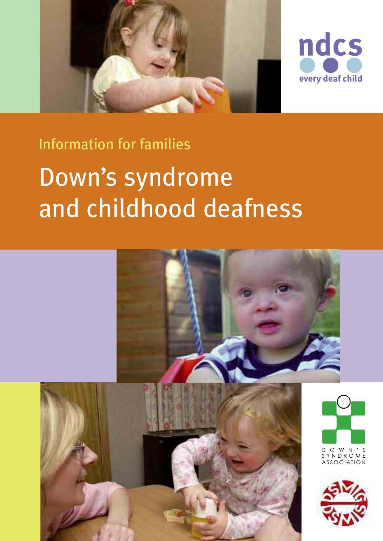



# Information for families

# Down's syndrome and childhood deafness

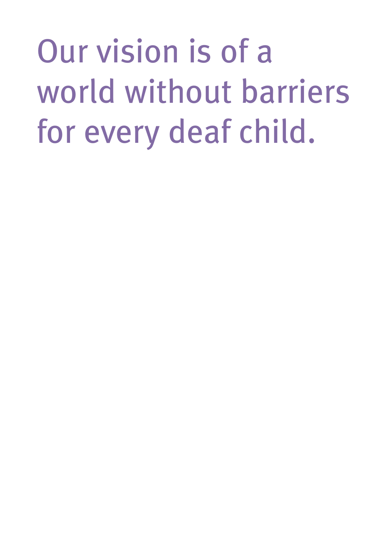Our vision is of a world without barriers for every deaf child.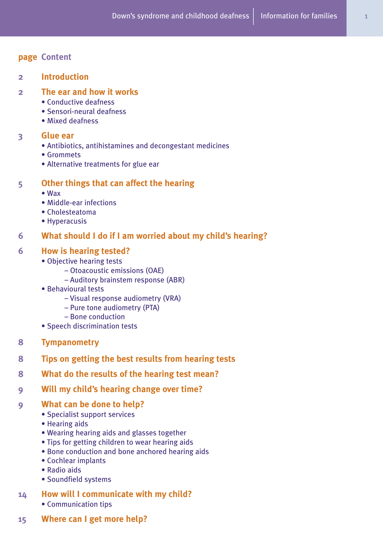# **page Content**

# **2 Introduction**

# **2 The ear and how it works**

- Conductive deafness
- Sensori-neural deafness
- Mixed deafness

# **3 Glue ear**

- Antibiotics, antihistamines and decongestant medicines
- Grommets
- Alternative treatments for glue ear

# **5 Other things that can affect the hearing**

- Wax
- Middle-ear infections
- Cholesteatoma
- Hyperacusis

# **6 What should I do if I am worried about my child's hearing?**

# **6 How is hearing tested?**

- Objective hearing tests
	- Otoacoustic emissions (OAE)
	- Auditory brainstem response (ABR)
- Behavioural tests
	- Visual response audiometry (VRA)
	- Pure tone audiometry (PTA)
	- Bone conduction
- Speech discrimination tests
- **8 Tympanometry**
- **8 Tips on getting the best results from hearing tests**
- **8 What do the results of the hearing test mean?**
- **9 Will my child's hearing change over time?**

# **9 What can be done to help?**

- Specialist support services
- Hearing aids
- Wearing hearing aids and glasses together
- Tips for getting children to wear hearing aids
- Bone conduction and bone anchored hearing aids
- Cochlear implants
- Radio aids
- Soundfield systems

# **14 How will I communicate with my child?** • Communication tips

**15 Where can I get more help?**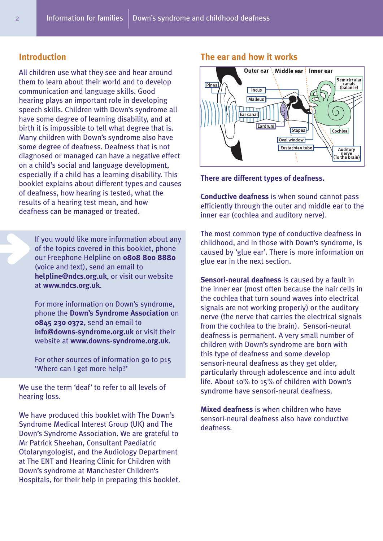# **Introduction**

All children use what they see and hear around them to learn about their world and to develop communication and language skills. Good hearing plays an important role in developing speech skills. Children with Down's syndrome all have some degree of learning disability, and at birth it is impossible to tell what degree that is. Many children with Down's syndrome also have some degree of deafness. Deafness that is not diagnosed or managed can have a negative effect on a child's social and language development, especially if a child has a learning disability. This booklet explains about different types and causes of deafness, how hearing is tested, what the results of a hearing test mean, and how deafness can be managed or treated.

If you would like more information about any of the topics covered in this booklet, phone our Freephone Helpline on **0808 800 8880** (voice and text), send an email to **helpline@ndcs.org.uk**, or visit our website at **www.ndcs.org.uk**.

For more information on Down's syndrome, phone the **Down's Syndrome Association** on **0845 230 0372**, send an email to **info@downs-syndrome.org.uk** or visit their website at **www.downs-syndrome.org.uk**.

For other sources of information go to p15 'Where can I get more help?'

We use the term 'deaf' to refer to all levels of hearing loss.

We have produced this booklet with The Down's Syndrome Medical Interest Group (UK) and The Down's Syndrome Association. We are grateful to Mr Patrick Sheehan, Consultant Paediatric Otolaryngologist, and the Audiology Department at The ENT and Hearing Clinic for Children with Down's syndrome at Manchester Children's Hospitals, for their help in preparing this booklet.

# **The ear and how it works**



#### **There are different types of deafness.**

**Conductive deafness** is when sound cannot pass efficiently through the outer and middle ear to the inner ear (cochlea and auditory nerve).

The most common type of conductive deafness in childhood, and in those with Down's syndrome, is caused by 'glue ear'. There is more information on glue ear in the next section.

**Sensori-neural deafness** is caused by a fault in the inner ear (most often because the hair cells in the cochlea that turn sound waves into electrical signals are not working properly) or the auditory nerve (the nerve that carries the electrical signals from the cochlea to the brain). Sensori-neural deafness is permanent. A very small number of children with Down's syndrome are born with this type of deafness and some develop sensori-neural deafness as they get older, particularly through adolescence and into adult life. About 10% to 15% of children with Down's syndrome have sensori-neural deafness.

**Mixed deafness** is when children who have sensori-neural deafness also have conductive deafness.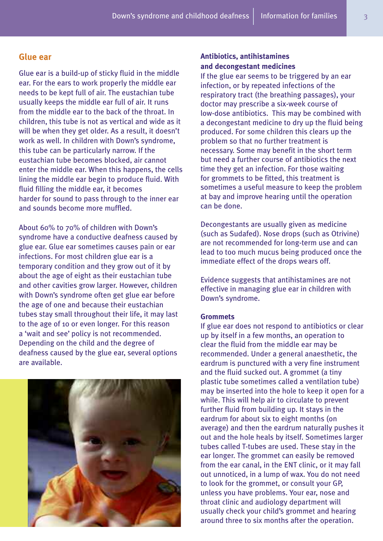# **Glue ear**

Glue ear is a build-up of sticky fluid in the middle ear. For the ears to work properly the middle ear needs to be kept full of air. The eustachian tube usually keeps the middle ear full of air. It runs from the middle ear to the back of the throat. In children, this tube is not as vertical and wide as it will be when they get older. As a result, it doesn't work as well. In children with Down's syndrome, this tube can be particularly narrow. If the eustachian tube becomes blocked, air cannot enter the middle ear. When this happens, the cells lining the middle ear begin to produce fluid. With fluid filling the middle ear, it becomes harder for sound to pass through to the inner ear and sounds become more muffled.

About 60% to 70% of children with Down's syndrome have a conductive deafness caused by glue ear. Glue ear sometimes causes pain or ear infections. For most children glue ear is a temporary condition and they grow out of it by about the age of eight as their eustachian tube and other cavities grow larger. However, children with Down's syndrome often get glue ear before the age of one and because their eustachian tubes stay small throughout their life, it may last to the age of 10 or even longer. For this reason a 'wait and see' policy is not recommended. Depending on the child and the degree of deafness caused by the glue ear, several options are available.



# **Antibiotics, antihistamines and decongestant medicines**

If the glue ear seems to be triggered by an ear infection, or by repeated infections of the respiratory tract (the breathing passages), your doctor may prescribe a six-week course of low-dose antibiotics. This may be combined with a decongestant medicine to dry up the fluid being produced. For some children this clears up the problem so that no further treatment is necessary. Some may benefit in the short term but need a further course of antibiotics the next time they get an infection. For those waiting for grommets to be fitted, this treatment is sometimes a useful measure to keep the problem at bay and improve hearing until the operation can be done.

Decongestants are usually given as medicine (such as Sudafed). Nose drops (such as Otrivine) are not recommended for long-term use and can lead to too much mucus being produced once the immediate effect of the drops wears off.

Evidence suggests that antihistamines are not effective in managing glue ear in children with Down's syndrome.

#### **Grommets**

If glue ear does not respond to antibiotics or clear up by itself in a few months, an operation to clear the fluid from the middle ear may be recommended. Under a general anaesthetic, the eardrum is punctured with a very fine instrument and the fluid sucked out. A grommet (a tiny plastic tube sometimes called a ventilation tube) may be inserted into the hole to keep it open for a while. This will help air to circulate to prevent further fluid from building up. It stays in the eardrum for about six to eight months (on average) and then the eardrum naturally pushes it out and the hole heals by itself. Sometimes larger tubes called T-tubes are used. These stay in the ear longer. The grommet can easily be removed from the ear canal, in the ENT clinic, or it may fall out unnoticed, in a lump of wax. You do not need to look for the grommet, or consult your GP, unless you have problems. Your ear, nose and throat clinic and audiology department will usually check your child's grommet and hearing around three to six months after the operation.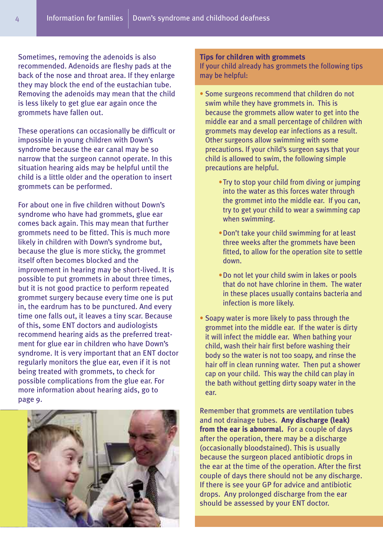Sometimes, removing the adenoids is also recommended. Adenoids are fleshy pads at the back of the nose and throat area. If they enlarge they may block the end of the eustachian tube. Removing the adenoids may mean that the child is less likely to get glue ear again once the grommets have fallen out.

These operations can occasionally be difficult or impossible in young children with Down's syndrome because the ear canal may be so narrow that the surgeon cannot operate. In this situation hearing aids may be helpful until the child is a little older and the operation to insert grommets can be performed.

For about one in five children without Down's syndrome who have had grommets, glue ear comes back again. This may mean that further grommets need to be fitted. This is much more likely in children with Down's syndrome but, because the glue is more sticky, the grommet itself often becomes blocked and the improvement in hearing may be short-lived. It is possible to put grommets in about three times, but it is not good practice to perform repeated grommet surgery because every time one is put in, the eardrum has to be punctured. And every time one falls out, it leaves a tiny scar. Because of this, some ENT doctors and audiologists recommend hearing aids as the preferred treatment for glue ear in children who have Down's syndrome. It is very important that an ENT doctor regularly monitors the glue ear, even if it is not being treated with grommets, to check for possible complications from the glue ear. For more information about hearing aids, go to page 9.



#### **Tips for children with grommets**

If your child already has grommets the following tips may be helpful:

- Some surgeons recommend that children do not swim while they have grommets in. This is because the grommets allow water to get into the middle ear and a small percentage of children with grommets may develop ear infections as a result. Other surgeons allow swimming with some precautions. If your child's surgeon says that your child is allowed to swim, the following simple precautions are helpful.
	- •Try to stop your child from diving or jumping into the water as this forces water through the grommet into the middle ear. If you can, try to get your child to wear a swimming cap when swimming.
	- •Don't take your child swimming for at least three weeks after the grommets have been fitted, to allow for the operation site to settle down.
	- •Do not let your child swim in lakes or pools that do not have chlorine in them. The water in these places usually contains bacteria and infection is more likely.
- Soapy water is more likely to pass through the grommet into the middle ear. If the water is dirty it will infect the middle ear. When bathing your child, wash their hair first before washing their body so the water is not too soapy, and rinse the hair off in clean running water. Then put a shower cap on your child. This way the child can play in the bath without getting dirty soapy water in the ear.

Remember that grommets are ventilation tubes and not drainage tubes. **Any discharge (leak) from the ear is abnormal.** For a couple of days after the operation, there may be a discharge (occasionally bloodstained). This is usually because the surgeon placed antibiotic drops in the ear at the time of the operation. After the first couple of days there should not be any discharge. If there is see your GP for advice and antibiotic drops. Any prolonged discharge from the ear should be assessed by your ENT doctor.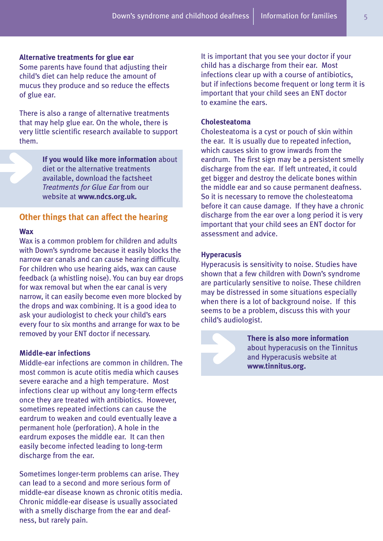#### **Alternative treatments for glue ear**

Some parents have found that adjusting their child's diet can help reduce the amount of mucus they produce and so reduce the effects of glue ear.

There is also a range of alternative treatments that may help glue ear. On the whole, there is very little scientific research available to support them.

> **If you would like more information** about diet or the alternative treatments available, download the factsheet *Treatments for Glue Ear* from our website at **www.ndcs.org.uk.**

# **Other things that can affect the hearing**

#### **Wax**

Wax is a common problem for children and adults with Down's syndrome because it easily blocks the narrow ear canals and can cause hearing difficulty. For children who use hearing aids, wax can cause feedback (a whistling noise). You can buy ear drops for wax removal but when the ear canal is very narrow, it can easily become even more blocked by the drops and wax combining. It is a good idea to ask your audiologist to check your child's ears every four to six months and arrange for wax to be removed by your ENT doctor if necessary.

# **Middle-ear infections**

Middle-ear infections are common in children. The most common is acute otitis media which causes severe earache and a high temperature. Most infections clear up without any long-term effects once they are treated with antibiotics. However, sometimes repeated infections can cause the eardrum to weaken and could eventually leave a permanent hole (perforation). A hole in the eardrum exposes the middle ear. It can then easily become infected leading to long-term discharge from the ear.

Sometimes longer-term problems can arise. They can lead to a second and more serious form of middle-ear disease known as chronic otitis media. Chronic middle-ear disease is usually associated with a smelly discharge from the ear and deafness, but rarely pain.

It is important that you see your doctor if your child has a discharge from their ear. Most infections clear up with a course of antibiotics, but if infections become frequent or long term it is important that your child sees an ENT doctor to examine the ears.

#### **Cholesteatoma**

Cholesteatoma is a cyst or pouch of skin within the ear. It is usually due to repeated infection, which causes skin to grow inwards from the eardrum. The first sign may be a persistent smelly discharge from the ear. If left untreated, it could get bigger and destroy the delicate bones within the middle ear and so cause permanent deafness. So it is necessary to remove the cholesteatoma before it can cause damage. If they have a chronic discharge from the ear over a long period it is very important that your child sees an ENT doctor for assessment and advice.

#### **Hyperacusis**

Hyperacusis is sensitivity to noise. Studies have shown that a few children with Down's syndrome are particularly sensitive to noise. These children may be distressed in some situations especially when there is a lot of background noise. If this seems to be a problem, discuss this with your child's audiologist.

> **There is also more information** about hyperacusis on the Tinnitus and Hyperacusis website at **www.tinnitus.org.**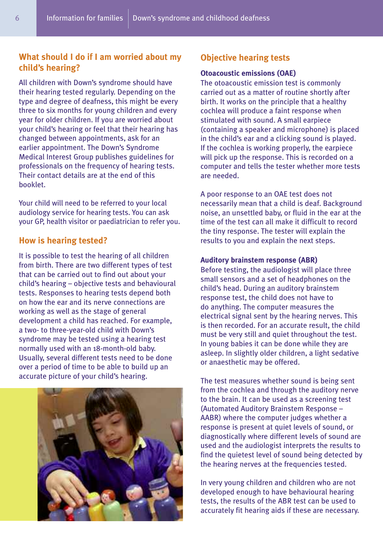# **What should I do if I am worried about my child's hearing?**

All children with Down's syndrome should have their hearing tested regularly. Depending on the type and degree of deafness, this might be every three to six months for young children and every year for older children. If you are worried about your child's hearing or feel that their hearing has changed between appointments, ask for an earlier appointment. The Down's Syndrome Medical Interest Group publishes guidelines for professionals on the frequency of hearing tests. Their contact details are at the end of this booklet.

Your child will need to be referred to your local audiology service for hearing tests. You can ask your GP, health visitor or paediatrician to refer you.

# **How is hearing tested?**

It is possible to test the hearing of all children from birth. There are two different types of test that can be carried out to find out about your child's hearing – objective tests and behavioural tests. Responses to hearing tests depend both on how the ear and its nerve connections are working as well as the stage of general development a child has reached. For example, a two- to three-year-old child with Down's syndrome may be tested using a hearing test normally used with an 18-month-old baby. Usually, several different tests need to be done over a period of time to be able to build up an accurate picture of your child's hearing.



# **Objective hearing tests**

# **Otoacoustic emissions (OAE)**

The otoacoustic emission test is commonly carried out as a matter of routine shortly after birth. It works on the principle that a healthy cochlea will produce a faint response when stimulated with sound. A small earpiece (containing a speaker and microphone) is placed in the child's ear and a clicking sound is played. If the cochlea is working properly, the earpiece will pick up the response. This is recorded on a computer and tells the tester whether more tests are needed.

A poor response to an OAE test does not necessarily mean that a child is deaf. Background noise, an unsettled baby, or fluid in the ear at the time of the test can all make it difficult to record the tiny response. The tester will explain the results to you and explain the next steps.

#### **Auditory brainstem response (ABR)**

Before testing, the audiologist will place three small sensors and a set of headphones on the child's head. During an auditory brainstem response test, the child does not have to do anything. The computer measures the electrical signal sent by the hearing nerves. This is then recorded. For an accurate result, the child must be very still and quiet throughout the test. In young babies it can be done while they are asleep. In slightly older children, a light sedative or anaesthetic may be offered.

The test measures whether sound is being sent from the cochlea and through the auditory nerve to the brain. It can be used as a screening test (Automated Auditory Brainstem Response – AABR) where the computer judges whether a response is present at quiet levels of sound, or diagnostically where different levels of sound are used and the audiologist interprets the results to find the quietest level of sound being detected by the hearing nerves at the frequencies tested.

In very young children and children who are not developed enough to have behavioural hearing tests, the results of the ABR test can be used to accurately fit hearing aids if these are necessary.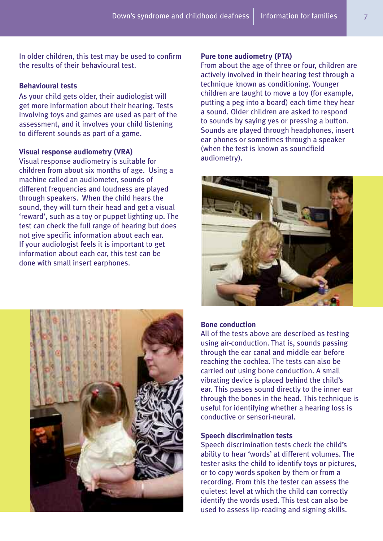In older children, this test may be used to confirm the results of their behavioural test.

# **Behavioural tests**

As your child gets older, their audiologist will get more information about their hearing. Tests involving toys and games are used as part of the assessment, and it involves your child listening to different sounds as part of a game.

#### **Visual response audiometry (VRA)**

Visual response audiometry is suitable for children from about six months of age. Using a machine called an audiometer, sounds of different frequencies and loudness are played through speakers. When the child hears the sound, they will turn their head and get a visual 'reward', such as a toy or puppet lighting up. The test can check the full range of hearing but does not give specific information about each ear. If your audiologist feels it is important to get information about each ear, this test can be done with small insert earphones.



#### **Pure tone audiometry (PTA)**

From about the age of three or four, children are actively involved in their hearing test through a technique known as conditioning. Younger children are taught to move a toy (for example, putting a peg into a board) each time they hear a sound. Older children are asked to respond to sounds by saying yes or pressing a button. Sounds are played through headphones, insert ear phones or sometimes through a speaker (when the test is known as soundfield audiometry).



# **Bone conduction**

All of the tests above are described as testing using air-conduction. That is, sounds passing through the ear canal and middle ear before reaching the cochlea. The tests can also be carried out using bone conduction. A small vibrating device is placed behind the child's ear. This passes sound directly to the inner ear through the bones in the head. This technique is useful for identifying whether a hearing loss is conductive or sensori-neural.

#### **Speech discrimination tests**

Speech discrimination tests check the child's ability to hear 'words' at different volumes. The tester asks the child to identify toys or pictures, or to copy words spoken by them or from a recording. From this the tester can assess the quietest level at which the child can correctly identify the words used. This test can also be used to assess lip-reading and signing skills.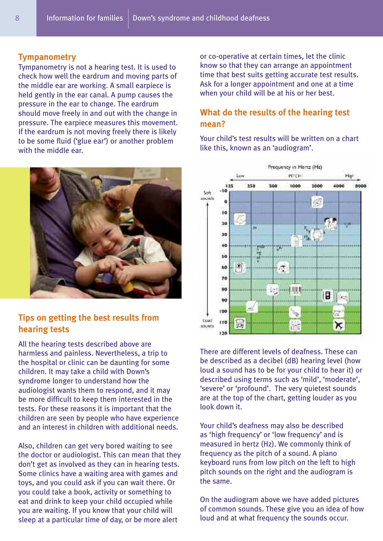# **Tympanometry**

Tympanometry is not a hearing test. It is used to check how well the eardrum and moving parts of the middle ear are working. A small earpiece is held gently in the ear canal. A pump causes the pressure in the ear to change. The eardrum should move freely in and out with the change in pressure. The earpiece measures this movement. If the eardrum is not moving freely there is likely to be some fluid ('glue ear') or another problem with the middle ear.



# **Tips on getting the best results from hearing tests**

All the hearing tests described above are harmless and painless. Nevertheless, a trip to the hospital or clinic can be daunting for some children. It may take a child with Down's syndrome longer to understand how the audiologist wants them to respond, and it may be more difficult to keep them interested in the tests. For these reasons it is important that the children are seen by people who have experience and an interest in children with additional needs.

Also, children can get very bored waiting to see the doctor or audiologist. This can mean that they don't get as involved as they can in hearing tests. Some clinics have a waiting area with games and toys, and you could ask if you can wait there. Or you could take a book, activity or something to eat and drink to keep your child occupied while you are waiting. If you know that your child will sleep at a particular time of day, or be more alert

or co-operative at certain times, let the clinic know so that they can arrange an appointment time that best suits getting accurate test results. Ask for a longer appointment and one at a time when your child will be at his or her best.

# **What do the results of the hearing test mean?**

Your child's test results will be written on a chart like this, known as an 'audiogram'.



There are different levels of deafness. These can be described as a decibel (dB) hearing level (how loud a sound has to be for your child to hear it) or described using terms such as 'mild', 'moderate', 'severe' or 'profound'. The very quietest sounds are at the top of the chart, getting louder as you look down it.

Your child's deafness may also be described as 'high frequency' or 'low frequency' and is measured in hertz (Hz). We commonly think of frequency as the pitch of a sound. A piano keyboard runs from low pitch on the left to high pitch sounds on the right and the audiogram is the same.

On the audiogram above we have added pictures of common sounds. These give you an idea of how loud and at what frequency the sounds occur.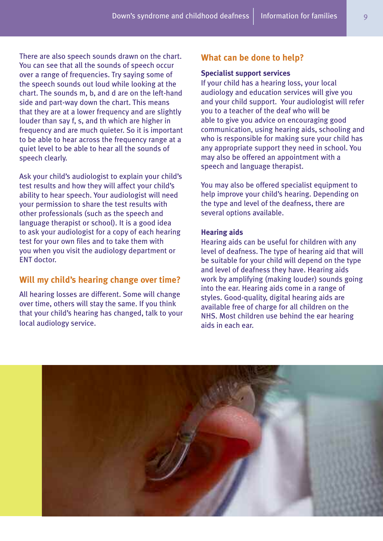There are also speech sounds drawn on the chart. You can see that all the sounds of speech occur over a range of frequencies. Try saying some of the speech sounds out loud while looking at the chart. The sounds m, b, and d are on the left-hand side and part-way down the chart. This means that they are at a lower frequency and are slightly louder than say f, s, and th which are higher in frequency and are much quieter. So it is important to be able to hear across the frequency range at a quiet level to be able to hear all the sounds of speech clearly.

Ask your child's audiologist to explain your child's test results and how they will affect your child's ability to hear speech. Your audiologist will need your permission to share the test results with other professionals (such as the speech and language therapist or school). It is a good idea to ask your audiologist for a copy of each hearing test for your own files and to take them with you when you visit the audiology department or ENT doctor.

# **Will my child's hearing change over time?**

All hearing losses are different. Some will change over time, others will stay the same. If you think that your child's hearing has changed, talk to your local audiology service.

# **What can be done to help?**

# **Specialist support services**

If your child has a hearing loss, your local audiology and education services will give you and your child support. Your audiologist will refer you to a teacher of the deaf who will be able to give you advice on encouraging good communication, using hearing aids, schooling and who is responsible for making sure your child has any appropriate support they need in school. You may also be offered an appointment with a speech and language therapist.

You may also be offered specialist equipment to help improve your child's hearing. Depending on the type and level of the deafness, there are several options available.

#### **Hearing aids**

Hearing aids can be useful for children with any level of deafness. The type of hearing aid that will be suitable for your child will depend on the type and level of deafness they have. Hearing aids work by amplifying (making louder) sounds going into the ear. Hearing aids come in a range of styles. Good-quality, digital hearing aids are available free of charge for all children on the NHS. Most children use behind the ear hearing aids in each ear.

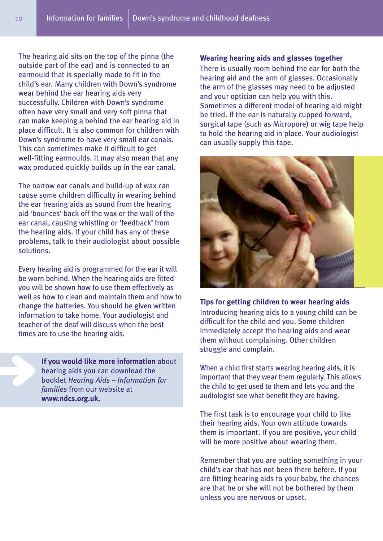The hearing aid sits on the top of the pinna (the outside part of the ear) and is connected to an earmould that is specially made to fit in the child's ear. Many children with Down's syndrome wear behind the ear hearing aids very successfully. Children with Down's syndrome often have very small and very soft pinna that can make keeping a behind the ear hearing aid in place difficult. It is also common for children with Down's syndrome to have very small ear canals. This can sometimes make it difficult to get well-fitting earmoulds. It may also mean that any wax produced quickly builds up in the ear canal.

The narrow ear canals and build-up of wax can cause some children difficulty in wearing behind the ear hearing aids as sound from the hearing aid 'bounces' back off the wax or the wall of the ear canal, causing whistling or 'feedback' from the hearing aids. If your child has any of these problems, talk to their audiologist about possible solutions.

Every hearing aid is programmed for the ear it will be worn behind. When the hearing aids are fitted you will be shown how to use them effectively as well as how to clean and maintain them and how to change the batteries. You should be given written information to take home. Your audiologist and teacher of the deaf will discuss when the best times are to use the hearing aids.

> **If you would like more information** about hearing aids you can download the booklet *Hearing Aids – Information for families* from our website at **www.ndcs.org.uk.**

# **Wearing hearing aids and glasses together**

There is usually room behind the ear for both the hearing aid and the arm of glasses. Occasionally the arm of the glasses may need to be adjusted and your optician can help you with this. Sometimes a different model of hearing aid might be tried. If the ear is naturally cupped forward, surgical tape (such as Micropore) or wig tape help to hold the hearing aid in place. Your audiologist can usually supply this tape.



**Tips for getting children to wear hearing aids** Introducing hearing aids to a young child can be difficult for the child and you. Some children immediately accept the hearing aids and wear them without complaining. Other children struggle and complain.

When a child first starts wearing hearing aids, it is important that they wear them regularly. This allows the child to get used to them and lets you and the audiologist see what benefit they are having.

The first task is to encourage your child to like their hearing aids. Your own attitude towards them is important. If you are positive, your child will be more positive about wearing them.

Remember that you are putting something in your child's ear that has not been there before. If you are fitting hearing aids to your baby, the chances are that he or she will not be bothered by them unless you are nervous or upset.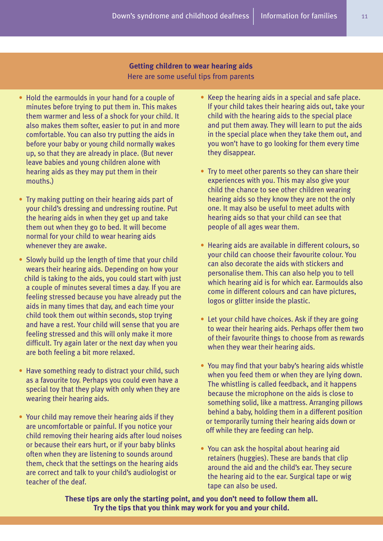# **Getting children to wear hearing aids** Here are some useful tips from parents

- Hold the earmoulds in your hand for a couple of minutes before trying to put them in. This makes them warmer and less of a shock for your child. It also makes them softer, easier to put in and more comfortable. You can also try putting the aids in before your baby or young child normally wakes up, so that they are already in place. (But never leave babies and young children alone with hearing aids as they may put them in their mouths.)
- Try making putting on their hearing aids part of your child's dressing and undressing routine. Put the hearing aids in when they get up and take them out when they go to bed. It will become normal for your child to wear hearing aids whenever they are awake.
- Slowly build up the length of time that your child wears their hearing aids. Depending on how your child is taking to the aids, you could start with just a couple of minutes several times a day. If you are feeling stressed because you have already put the aids in many times that day, and each time your child took them out within seconds, stop trying and have a rest. Your child will sense that you are feeling stressed and this will only make it more difficult. Try again later or the next day when you are both feeling a bit more relaxed.
- Have something ready to distract your child, such as a favourite toy. Perhaps you could even have a special toy that they play with only when they are wearing their hearing aids.
- Your child may remove their hearing aids if they are uncomfortable or painful. If you notice your child removing their hearing aids after loud noises or because their ears hurt, or if your baby blinks often when they are listening to sounds around them, check that the settings on the hearing aids are correct and talk to your child's audiologist or teacher of the deaf.
- Keep the hearing aids in a special and safe place. If your child takes their hearing aids out, take your child with the hearing aids to the special place and put them away. They will learn to put the aids in the special place when they take them out, and you won't have to go looking for them every time they disappear.
- Try to meet other parents so they can share their experiences with you. This may also give your child the chance to see other children wearing hearing aids so they know they are not the only one. It may also be useful to meet adults with hearing aids so that your child can see that people of all ages wear them.
- Hearing aids are available in different colours, so your child can choose their favourite colour. You can also decorate the aids with stickers and personalise them. This can also help you to tell which hearing aid is for which ear. Earmoulds also come in different colours and can have pictures, logos or glitter inside the plastic.
- Let your child have choices. Ask if they are going to wear their hearing aids. Perhaps offer them two of their favourite things to choose from as rewards when they wear their hearing aids.
- You may find that your baby's hearing aids whistle when you feed them or when they are lying down. The whistling is called feedback, and it happens because the microphone on the aids is close to something solid, like a mattress. Arranging pillows behind a baby, holding them in a different position or temporarily turning their hearing aids down or off while they are feeding can help.
- You can ask the hospital about hearing aid retainers (huggies). These are bands that clip around the aid and the child's ear. They secure the hearing aid to the ear. Surgical tape or wig tape can also be used.

**These tips are only the starting point, and you don't need to follow them all. Try the tips that you think may work for you and your child.**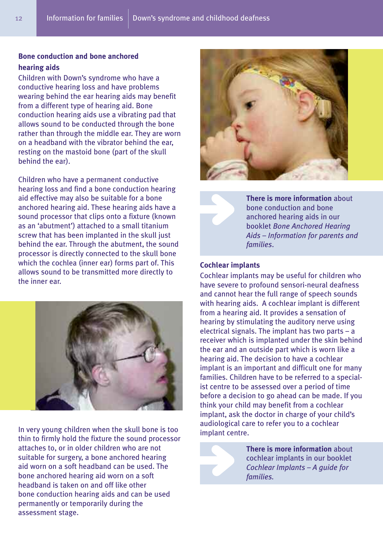# **Bone conduction and bone anchored hearing aids**

Children with Down's syndrome who have a conductive hearing loss and have problems wearing behind the ear hearing aids may benefit from a different type of hearing aid. Bone conduction hearing aids use a vibrating pad that allows sound to be conducted through the bone rather than through the middle ear. They are worn on a headband with the vibrator behind the ear, resting on the mastoid bone (part of the skull behind the ear).

Children who have a permanent conductive hearing loss and find a bone conduction hearing aid effective may also be suitable for a bone anchored hearing aid. These hearing aids have a sound processor that clips onto a fixture (known as an 'abutment') attached to a small titanium screw that has been implanted in the skull just behind the ear. Through the abutment, the sound processor is directly connected to the skull bone which the cochlea (inner ear) forms part of. This allows sound to be transmitted more directly to the inner ear.



In very young children when the skull bone is too thin to firmly hold the fixture the sound processor attaches to, or in older children who are not suitable for surgery, a bone anchored hearing aid worn on a soft headband can be used. The bone anchored hearing aid worn on a soft headband is taken on and off like other bone conduction hearing aids and can be used permanently or temporarily during the assessment stage.



**There is more information** about bone conduction and bone anchored hearing aids in our booklet *Bone Anchored Hearing Aids – Information for parents and families*.

# **Cochlear implants**

Cochlear implants may be useful for children who have severe to profound sensori-neural deafness and cannot hear the full range of speech sounds with hearing aids. A cochlear implant is different from a hearing aid. It provides a sensation of hearing by stimulating the auditory nerve using electrical signals. The implant has two parts – a receiver which is implanted under the skin behind the ear and an outside part which is worn like a hearing aid. The decision to have a cochlear implant is an important and difficult one for many families. Children have to be referred to a specialist centre to be assessed over a period of time before a decision to go ahead can be made. If you think your child may benefit from a cochlear implant, ask the doctor in charge of your child's audiological care to refer you to a cochlear implant centre.



**There is more information** about cochlear implants in our booklet *Cochlear Implants – A guide for families.*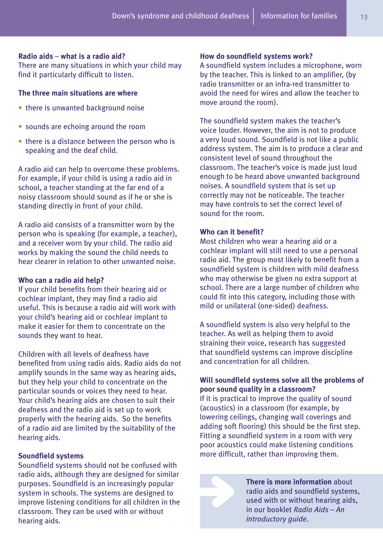### **Radio aids** – **what is a radio aid?**

There are many situations in which your child may find it particularly difficult to listen.

# **The three main situations are where**

- there is unwanted background noise
- sounds are echoing around the room
- there is a distance between the person who is speaking and the deaf child.

A radio aid can help to overcome these problems. For example, if your child is using a radio aid in school, a teacher standing at the far end of a noisy classroom should sound as if he or she is standing directly in front of your child.

A radio aid consists of a transmitter worn by the person who is speaking (for example, a teacher), and a receiver worn by your child. The radio aid works by making the sound the child needs to hear clearer in relation to other unwanted noise.

#### **Who can a radio aid help?**

If your child benefits from their hearing aid or cochlear implant, they may find a radio aid useful. This is because a radio aid will work with your child's hearing aid or cochlear implant to make it easier for them to concentrate on the sounds they want to hear.

Children with all levels of deafness have benefited from using radio aids. Radio aids do not amplify sounds in the same way as hearing aids, but they help your child to concentrate on the particular sounds or voices they need to hear. Your child's hearing aids are chosen to suit their deafness and the radio aid is set up to work properly with the hearing aids. So the benefits of a radio aid are limited by the suitability of the hearing aids.

# **Soundfield systems**

Soundfield systems should not be confused with radio aids, although they are designed for similar purposes. Soundfield is an increasingly popular system in schools. The systems are designed to improve listening conditions for all children in the classroom. They can be used with or without hearing aids.

#### **How do soundfield systems work?**

A soundfield system includes a microphone, worn by the teacher. This is linked to an amplifier, (by radio transmitter or an infra-red transmitter to avoid the need for wires and allow the teacher to move around the room).

The soundfield system makes the teacher's voice louder. However, the aim is not to produce a very loud sound. Soundfield is not like a public address system. The aim is to produce a clear and consistent level of sound throughout the classroom. The teacher's voice is made just loud enough to be heard above unwanted background noises. A soundfield system that is set up correctly may not be noticeable. The teacher may have controls to set the correct level of sound for the room.

# **Who can it benefit?**

Most children who wear a hearing aid or a cochlear implant will still need to use a personal radio aid. The group most likely to benefit from a soundfield system is children with mild deafness who may otherwise be given no extra support at school. There are a large number of children who could fit into this category, including those with mild or unilateral (one-sided) deafness.

A soundfield system is also very helpful to the teacher. As well as helping them to avoid straining their voice, research has suggested that soundfield systems can improve discipline and concentration for all children.

# **Will soundfield systems solve all the problems of poor sound quality in a classroom?**

If it is practical to improve the quality of sound (acoustics) in a classroom (for example, by lowering ceilings, changing wall coverings and adding soft flooring) this should be the first step. Fitting a soundfield system in a room with very poor acoustics could make listening conditions more difficult, rather than improving them.



**There is more information** about radio aids and soundfield systems, used with or without hearing aids, in our booklet *Radio Aids – An introductory guide*.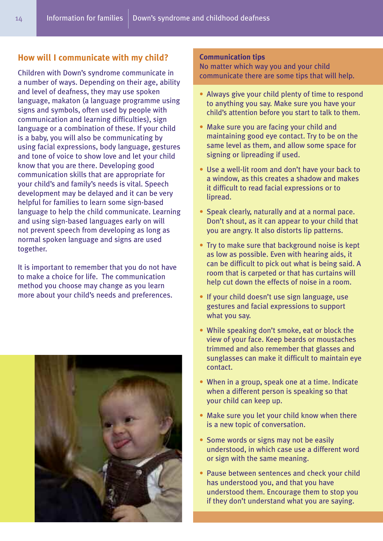# **How will I communicate with my child?**

Children with Down's syndrome communicate in a number of ways. Depending on their age, ability and level of deafness, they may use spoken language, makaton (a language programme using signs and symbols, often used by people with communication and learning difficulties), sign language or a combination of these. If your child is a baby, you will also be communicating by using facial expressions, body language, gestures and tone of voice to show love and let your child know that you are there. Developing good communication skills that are appropriate for your child's and family's needs is vital. Speech development may be delayed and it can be very helpful for families to learn some sign-based language to help the child communicate. Learning and using sign-based languages early on will not prevent speech from developing as long as normal spoken language and signs are used together.

It is important to remember that you do not have to make a choice for life. The communication method you choose may change as you learn more about your child's needs and preferences.



#### **Communication tips**

No matter which way you and your child communicate there are some tips that will help.

- Always give your child plenty of time to respond to anything you say. Make sure you have your child's attention before you start to talk to them.
- Make sure you are facing your child and maintaining good eye contact. Try to be on the same level as them, and allow some space for signing or lipreading if used.
- Use a well-lit room and don't have your back to a window, as this creates a shadow and makes it difficult to read facial expressions or to lipread.
- Speak clearly, naturally and at a normal pace. Don't shout, as it can appear to your child that you are angry. It also distorts lip patterns.
- Try to make sure that background noise is kept as low as possible. Even with hearing aids, it can be difficult to pick out what is being said. A room that is carpeted or that has curtains will help cut down the effects of noise in a room.
- If your child doesn't use sign language, use gestures and facial expressions to support what you say.
- While speaking don't smoke, eat or block the view of your face. Keep beards or moustaches trimmed and also remember that glasses and sunglasses can make it difficult to maintain eye contact.
- When in a group, speak one at a time. Indicate when a different person is speaking so that your child can keep up.
- Make sure you let your child know when there is a new topic of conversation.
- Some words or signs may not be easily understood, in which case use a different word or sign with the same meaning.
- Pause between sentences and check your child has understood you, and that you have understood them. Encourage them to stop you if they don't understand what you are saying.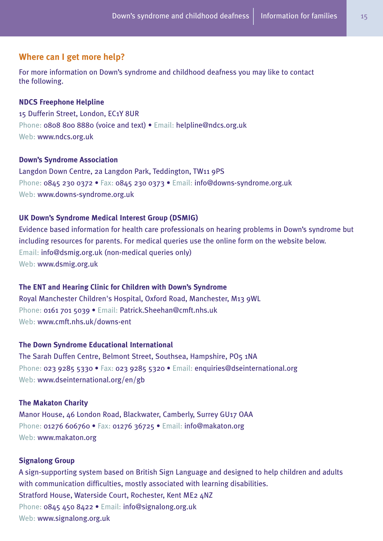# **Where can I get more help?**

For more information on Down's syndrome and childhood deafness you may like to contact the following.

# **NDCS Freephone Helpline**

15 Dufferin Street, London, EC1Y 8UR Phone: 0808 800 8880 (voice and text) • Email: helpline@ndcs.org.uk Web: www.ndcs.org.uk

#### **Down's Syndrome Association**

Langdon Down Centre, 2a Langdon Park, Teddington, TW11 9PS Phone: 0845 230 0372 • Fax: 0845 230 0373 • Email: info@downs-syndrome.org.uk Web: www.downs-syndrome.org.uk

### **UK Down's Syndrome Medical Interest Group (DSMIG)**

Evidence based information for health care professionals on hearing problems in Down's syndrome but including resources for parents. For medical queries use the online form on the website below. Email: info@dsmig.org.uk (non-medical queries only) Web: www.dsmig.org.uk

# **The ENT and Hearing Clinic for Children with Down's Syndrome**

Royal Manchester Children's Hospital, Oxford Road, Manchester, M13 9WL Phone: 0161 701 5039 · Email: Patrick.Sheehan@cmft.nhs.uk Web: www.cmft.nhs.uk/downs-ent

#### **The Down Syndrome Educational International**

The Sarah Duffen Centre, Belmont Street, Southsea, Hampshire, PO5 1NA Phone: 023 9285 5330 • Fax: 023 9285 5320 • Email: enquiries@dseinternational.org Web: www.dseinternational.org/en/gb

#### **The Makaton Charity**

Manor House, 46 London Road, Blackwater, Camberly, Surrey GU17 OAA Phone: 01276 606760 • Fax: 01276 36725 • Email: info@makaton.org Web: www.makaton.org

#### **Signalong Group**

A sign-supporting system based on British Sign Language and designed to help children and adults with communication difficulties, mostly associated with learning disabilities. Stratford House, Waterside Court, Rochester, Kent ME2 4NZ Phone: 0845 450 8422 · Email: info@signalong.org.uk Web: www.signalong.org.uk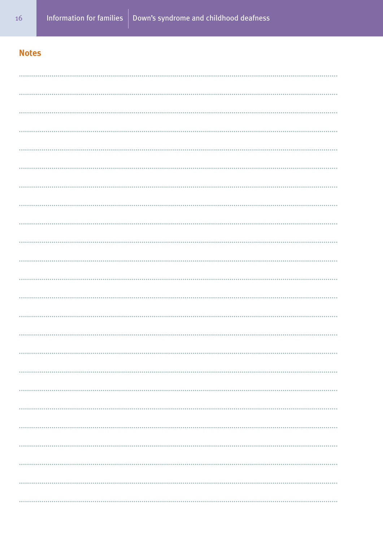# **Notes**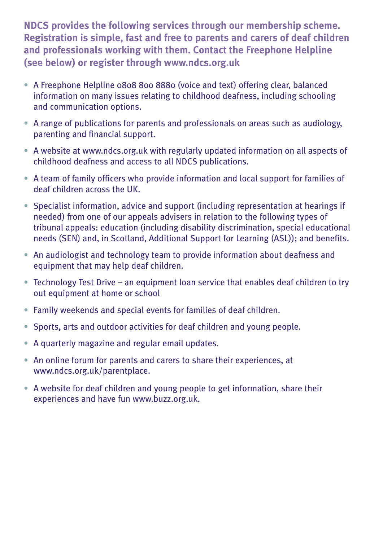**NDCS provides the following services through our membership scheme. Registration is simple, fast and free to parents and carers of deaf children and professionals working with them. Contact the Freephone Helpline (see below) or register through www.ndcs.org.uk**

- A Freephone Helpline 0808 800 8880 (voice and text) offering clear, balanced information on many issues relating to childhood deafness, including schooling and communication options.
- A range of publications for parents and professionals on areas such as audiology, parenting and financial support.
- A website at www.ndcs.org.uk with regularly updated information on all aspects of childhood deafness and access to all NDCS publications.
- A team of family officers who provide information and local support for families of deaf children across the UK.
- Specialist information, advice and support (including representation at hearings if needed) from one of our appeals advisers in relation to the following types of tribunal appeals: education (including disability discrimination, special educational needs (SEN) and, in Scotland, Additional Support for Learning (ASL)); and benefits.
- An audiologist and technology team to provide information about deafness and equipment that may help deaf children.
- Technology Test Drive an equipment loan service that enables deaf children to try out equipment at home or school
- Family weekends and special events for families of deaf children.
- Sports, arts and outdoor activities for deaf children and young people.
- A quarterly magazine and regular email updates.
- An online forum for parents and carers to share their experiences, at www.ndcs.org.uk/parentplace.
- A website for deaf children and young people to get information, share their experiences and have fun www.buzz.org.uk.